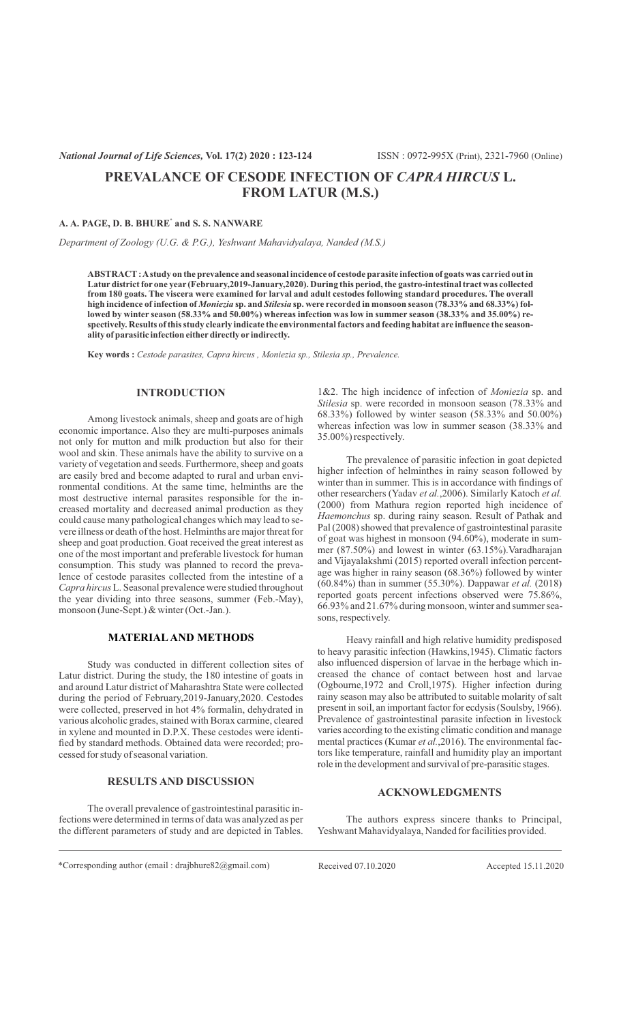# **PREVALANCE OF CESODE INFECTION OF** *CAPRA HIRCUS* **L. FROM LATUR (M.S.)**

#### **\* A. A. PAGE, D. B. BHURE and S. S. NANWARE**

*Department of Zoology (U.G. & P.G.), Yeshwant Mahavidyalaya, Nanded (M.S.)*

**ABSTRACT: Astudy on the prevalence and seasonal incidence of cestode parasite infection of goats was carried out in Latur district for one year (February,2019-January,2020). During this period, the gastro-intestinal tract was collected from 180 goats. The viscera were examined for larval and adult cestodes following standard procedures. The overall high incidence of infection of** *Moniezia* **sp. and** *Stilesia* **sp. were recorded in monsoon season (78.33% and 68.33%) followed by winter season (58.33% and 50.00%) whereas infection was low in summer season (38.33% and 35.00%) respectively. Results of this study clearly indicate the environmental factors and feeding habitat are influence the seasonality of parasitic infection eitherdirectly or indirectly.**

**Key words :** *Cestode parasites, Capra hircus , Moniezia sp., Stilesia sp., Prevalence.*

## **INTRODUCTION**

Among livestock animals, sheep and goats are of high economic importance. Also they are multi-purposes animals not only for mutton and milk production but also for their wool and skin. These animals have the ability to survive on a variety of vegetation and seeds. Furthermore, sheep and goats are easily bred and become adapted to rural and urban environmental conditions. At the same time, helminths are the most destructive internal parasites responsible for the increased mortality and decreased animal production as they could cause many pathological changes which may lead to severe illness or death of the host. Helminths are major threat for sheep and goat production. Goat received the great interest as one of the most important and preferable livestock for human consumption. This study was planned to record the prevalence of cestode parasites collected from the intestine of a *Capra hircus* L. Seasonal prevalence were studied throughout the year dividing into three seasons, summer (Feb.-May), monsoon (June-Sept.) & winter (Oct.-Jan.).

### **MATERIALAND METHODS**

Study was conducted in different collection sites of Latur district. During the study, the 180 intestine of goats in and around Latur district of Maharashtra State were collected during the period of February,2019-January,2020. Cestodes were collected, preserved in hot 4% formalin, dehydrated in various alcoholic grades, stained with Borax carmine, cleared in xylene and mounted in D.P.X. These cestodes were identified by standard methods. Obtained data were recorded; processed for study of seasonal variation.

#### **RESULTS AND DISCUSSION**

The overall prevalence of gastrointestinal parasitic infections were determined in terms of data was analyzed as per the different parameters of study and are depicted in Tables.

1&2. The high incidence of infection of *Moniezia* sp. and *Stilesia* sp. were recorded in monsoon season (78.33% and 68.33%) followed by winter season (58.33% and 50.00%) whereas infection was low in summer season (38.33% and 35.00%) respectively.

The prevalence of parasitic infection in goat depicted higher infection of helminthes in rainy season followed by winter than in summer. This is in accordance with findings of other researchers (Yadav *et al.*,2006). Similarly Katoch *et al.* (2000) from Mathura region reported high incidence of *Haemonchus* sp. during rainy season. Result of Pathak and Pal (2008) showed that prevalence of gastrointestinal parasite of goat was highest in monsoon (94.60%), moderate in summer (87.50%) and lowest in winter (63.15%).Varadharajan and Vijayalakshmi (2015) reported overall infection percentage was higher in rainy season (68.36%) followed by winter (60.84%) than in summer (55.30%). Dappawar *et al.* (2018) reported goats percent infections observed were 75.86%, 66.93% and 21.67% during monsoon, winter and summer seasons, respectively.

Heavy rainfall and high relative humidity predisposed to heavy parasitic infection (Hawkins,1945). Climatic factors also influenced dispersion of larvae in the herbage which increased the chance of contact between host and larvae (Ogbourne,1972 and Croll,1975). Higher infection during rainy season may also be attributed to suitable molarity of salt present in soil, an important factor for ecdysis (Soulsby, 1966). Prevalence of gastrointestinal parasite infection in livestock varies according to the existing climatic condition and manage mental practices (Kumar *et al.*,2016). The environmental factors like temperature, rainfall and humidity play an important role in the development and survival of pre-parasitic stages.

# **ACKNOWLEDGMENTS**

The authors express sincere thanks to Principal, Yeshwant Mahavidyalaya, Nanded for facilities provided.

\*Corresponding author (email : drajbhure82@gmail.com) Received 07.10.2020 Accepted 15.11.2020